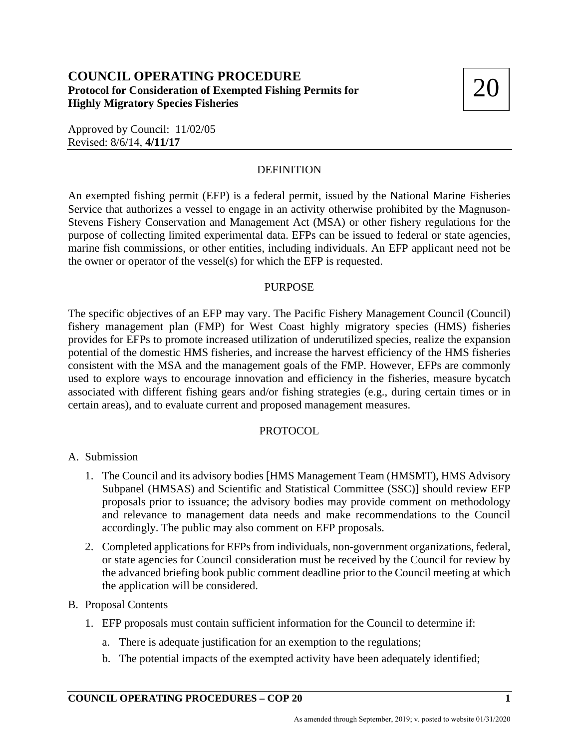# 20 **COUNCIL OPERATING PROCEDURE Protocol for Consideration of Exempted Fishing Permits for Highly Migratory Species Fisheries**

Approved by Council: 11/02/05 Revised: 8/6/14, **4/11/17**

## **DEFINITION**

An exempted fishing permit (EFP) is a federal permit, issued by the National Marine Fisheries Service that authorizes a vessel to engage in an activity otherwise prohibited by the Magnuson-Stevens Fishery Conservation and Management Act (MSA) or other fishery regulations for the purpose of collecting limited experimental data. EFPs can be issued to federal or state agencies, marine fish commissions, or other entities, including individuals. An EFP applicant need not be the owner or operator of the vessel(s) for which the EFP is requested.

#### PURPOSE

The specific objectives of an EFP may vary. The Pacific Fishery Management Council (Council) fishery management plan (FMP) for West Coast highly migratory species (HMS) fisheries provides for EFPs to promote increased utilization of underutilized species, realize the expansion potential of the domestic HMS fisheries, and increase the harvest efficiency of the HMS fisheries consistent with the MSA and the management goals of the FMP. However, EFPs are commonly used to explore ways to encourage innovation and efficiency in the fisheries, measure bycatch associated with different fishing gears and/or fishing strategies (e.g., during certain times or in certain areas), and to evaluate current and proposed management measures.

#### PROTOCOL

- A. Submission
	- 1. The Council and its advisory bodies [HMS Management Team (HMSMT), HMS Advisory Subpanel (HMSAS) and Scientific and Statistical Committee (SSC)] should review EFP proposals prior to issuance; the advisory bodies may provide comment on methodology and relevance to management data needs and make recommendations to the Council accordingly. The public may also comment on EFP proposals.
	- 2. Completed applications for EFPs from individuals, non-government organizations, federal, or state agencies for Council consideration must be received by the Council for review by the advanced briefing book public comment deadline prior to the Council meeting at which the application will be considered.

#### B. Proposal Contents

- 1. EFP proposals must contain sufficient information for the Council to determine if:
	- a. There is adequate justification for an exemption to the regulations;
	- b. The potential impacts of the exempted activity have been adequately identified;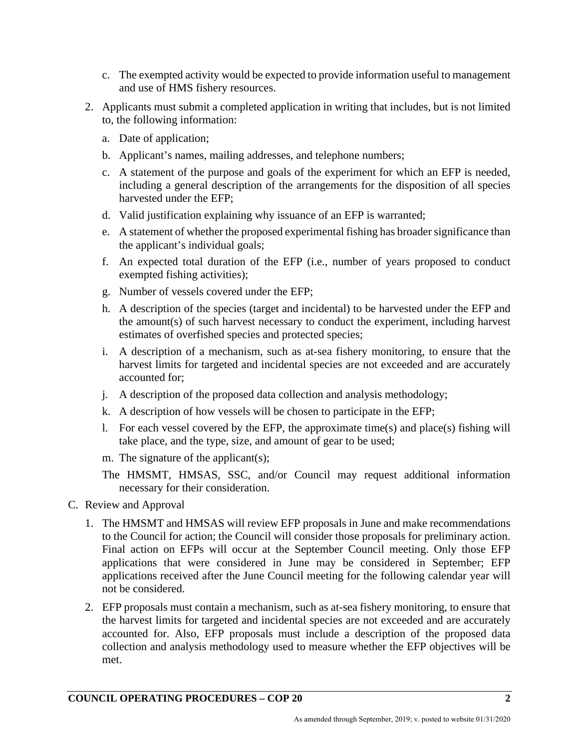- c. The exempted activity would be expected to provide information useful to management and use of HMS fishery resources.
- 2. Applicants must submit a completed application in writing that includes, but is not limited to, the following information:
	- a. Date of application;
	- b. Applicant's names, mailing addresses, and telephone numbers;
	- c. A statement of the purpose and goals of the experiment for which an EFP is needed, including a general description of the arrangements for the disposition of all species harvested under the EFP;
	- d. Valid justification explaining why issuance of an EFP is warranted;
	- e. A statement of whether the proposed experimental fishing has broader significance than the applicant's individual goals;
	- f. An expected total duration of the EFP (i.e., number of years proposed to conduct exempted fishing activities);
	- g. Number of vessels covered under the EFP;
	- h. A description of the species (target and incidental) to be harvested under the EFP and the amount(s) of such harvest necessary to conduct the experiment, including harvest estimates of overfished species and protected species;
	- i. A description of a mechanism, such as at-sea fishery monitoring, to ensure that the harvest limits for targeted and incidental species are not exceeded and are accurately accounted for;
	- j. A description of the proposed data collection and analysis methodology;
	- k. A description of how vessels will be chosen to participate in the EFP;
	- l. For each vessel covered by the EFP, the approximate time(s) and place(s) fishing will take place, and the type, size, and amount of gear to be used;
	- m. The signature of the applicant(s);
	- The HMSMT, HMSAS, SSC, and/or Council may request additional information necessary for their consideration.
- C. Review and Approval
	- 1. The HMSMT and HMSAS will review EFP proposals in June and make recommendations to the Council for action; the Council will consider those proposals for preliminary action. Final action on EFPs will occur at the September Council meeting. Only those EFP applications that were considered in June may be considered in September; EFP applications received after the June Council meeting for the following calendar year will not be considered.
	- 2. EFP proposals must contain a mechanism, such as at-sea fishery monitoring, to ensure that the harvest limits for targeted and incidental species are not exceeded and are accurately accounted for. Also, EFP proposals must include a description of the proposed data collection and analysis methodology used to measure whether the EFP objectives will be met.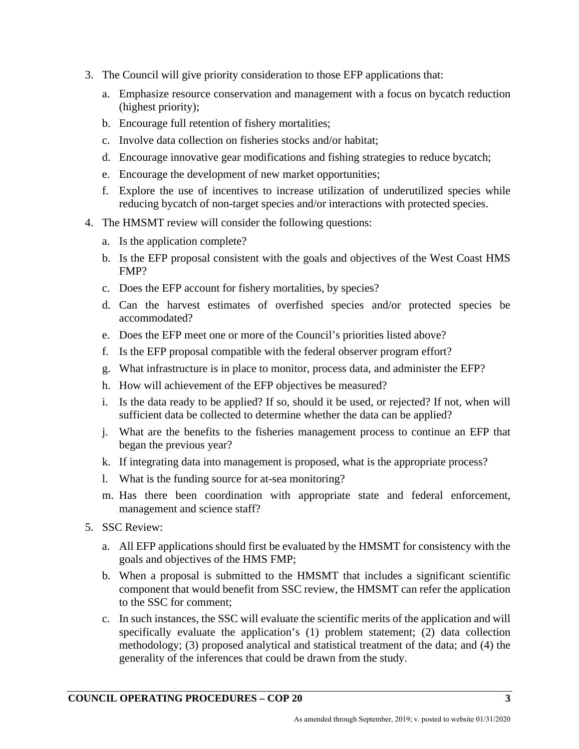- 3. The Council will give priority consideration to those EFP applications that:
	- a. Emphasize resource conservation and management with a focus on bycatch reduction (highest priority);
	- b. Encourage full retention of fishery mortalities;
	- c. Involve data collection on fisheries stocks and/or habitat;
	- d. Encourage innovative gear modifications and fishing strategies to reduce bycatch;
	- e. Encourage the development of new market opportunities;
	- f. Explore the use of incentives to increase utilization of underutilized species while reducing bycatch of non-target species and/or interactions with protected species.
- 4. The HMSMT review will consider the following questions:
	- a. Is the application complete?
	- b. Is the EFP proposal consistent with the goals and objectives of the West Coast HMS FMP?
	- c. Does the EFP account for fishery mortalities, by species?
	- d. Can the harvest estimates of overfished species and/or protected species be accommodated?
	- e. Does the EFP meet one or more of the Council's priorities listed above?
	- f. Is the EFP proposal compatible with the federal observer program effort?
	- g. What infrastructure is in place to monitor, process data, and administer the EFP?
	- h. How will achievement of the EFP objectives be measured?
	- i. Is the data ready to be applied? If so, should it be used, or rejected? If not, when will sufficient data be collected to determine whether the data can be applied?
	- j. What are the benefits to the fisheries management process to continue an EFP that began the previous year?
	- k. If integrating data into management is proposed, what is the appropriate process?
	- l. What is the funding source for at-sea monitoring?
	- m. Has there been coordination with appropriate state and federal enforcement, management and science staff?
- 5. SSC Review:
	- a. All EFP applications should first be evaluated by the HMSMT for consistency with the goals and objectives of the HMS FMP;
	- b. When a proposal is submitted to the HMSMT that includes a significant scientific component that would benefit from SSC review, the HMSMT can refer the application to the SSC for comment;
	- c. In such instances, the SSC will evaluate the scientific merits of the application and will specifically evaluate the application's (1) problem statement; (2) data collection methodology; (3) proposed analytical and statistical treatment of the data; and (4) the generality of the inferences that could be drawn from the study.